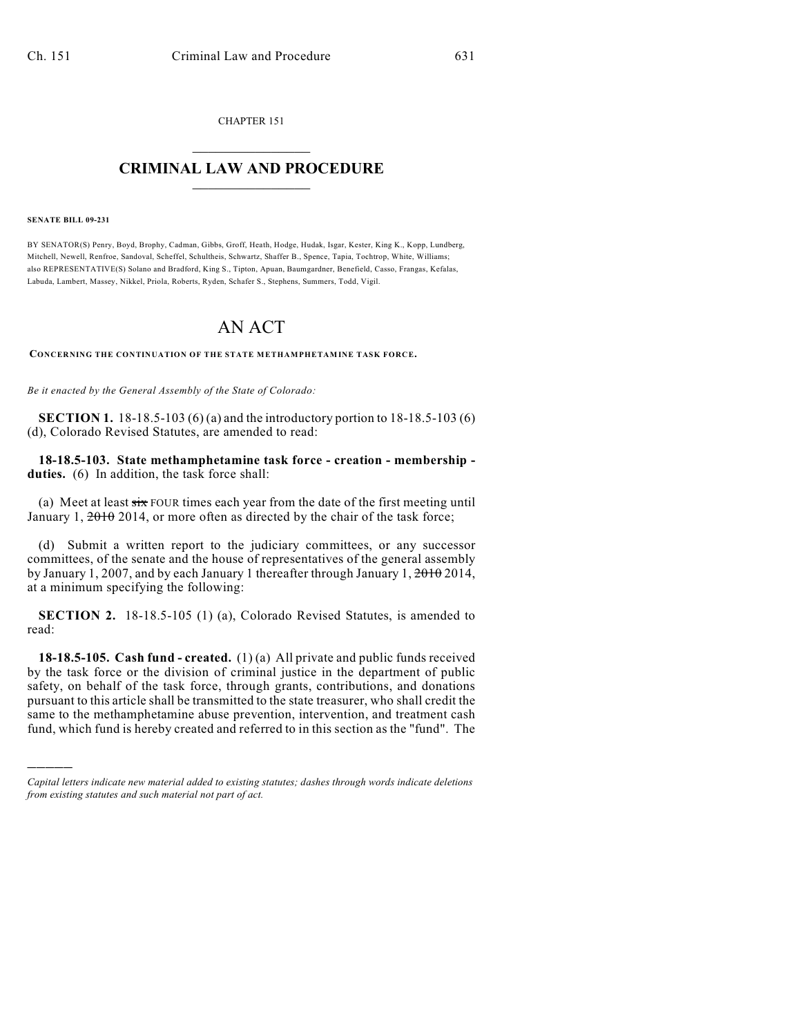CHAPTER 151  $\mathcal{L}_\text{max}$  . The set of the set of the set of the set of the set of the set of the set of the set of the set of the set of the set of the set of the set of the set of the set of the set of the set of the set of the set

## **CRIMINAL LAW AND PROCEDURE**  $\_$   $\_$   $\_$   $\_$   $\_$   $\_$   $\_$   $\_$   $\_$   $\_$

## **SENATE BILL 09-231**

)))))

BY SENATOR(S) Penry, Boyd, Brophy, Cadman, Gibbs, Groff, Heath, Hodge, Hudak, Isgar, Kester, King K., Kopp, Lundberg, Mitchell, Newell, Renfroe, Sandoval, Scheffel, Schultheis, Schwartz, Shaffer B., Spence, Tapia, Tochtrop, White, Williams; also REPRESENTATIVE(S) Solano and Bradford, King S., Tipton, Apuan, Baumgardner, Benefield, Casso, Frangas, Kefalas, Labuda, Lambert, Massey, Nikkel, Priola, Roberts, Ryden, Schafer S., Stephens, Summers, Todd, Vigil.

## AN ACT

**CONCERNING THE CONTINUATION OF THE STATE METHAMPHETAMINE TASK FORCE.**

*Be it enacted by the General Assembly of the State of Colorado:*

**SECTION 1.** 18-18.5-103 (6) (a) and the introductory portion to 18-18.5-103 (6) (d), Colorado Revised Statutes, are amended to read:

**18-18.5-103. State methamphetamine task force - creation - membership**  duties. (6) In addition, the task force shall:

(a) Meet at least  $six$  FOUR times each year from the date of the first meeting until January 1,  $2010$  2014, or more often as directed by the chair of the task force;

(d) Submit a written report to the judiciary committees, or any successor committees, of the senate and the house of representatives of the general assembly by January 1, 2007, and by each January 1 thereafter through January 1, 2010 2014, at a minimum specifying the following:

**SECTION 2.** 18-18.5-105 (1) (a), Colorado Revised Statutes, is amended to read:

**18-18.5-105. Cash fund - created.** (1) (a) All private and public funds received by the task force or the division of criminal justice in the department of public safety, on behalf of the task force, through grants, contributions, and donations pursuant to this article shall be transmitted to the state treasurer, who shall credit the same to the methamphetamine abuse prevention, intervention, and treatment cash fund, which fund is hereby created and referred to in this section as the "fund". The

*Capital letters indicate new material added to existing statutes; dashes through words indicate deletions from existing statutes and such material not part of act.*